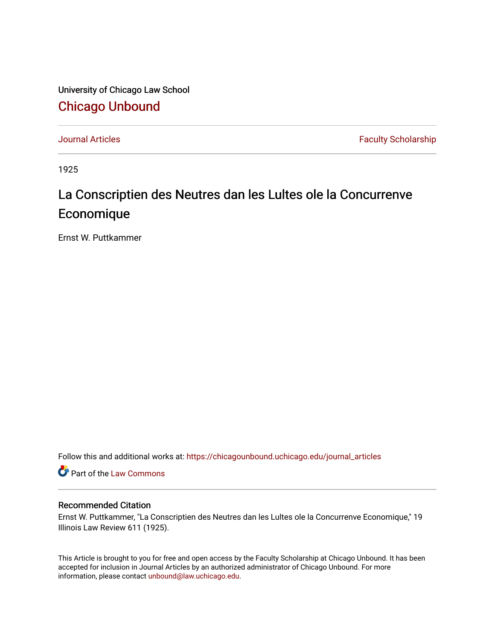University of Chicago Law School [Chicago Unbound](https://chicagounbound.uchicago.edu/)

[Journal Articles](https://chicagounbound.uchicago.edu/journal_articles) **Faculty Scholarship Faculty Scholarship** 

1925

## La Conscriptien des Neutres dan les Lultes ole la Concurrenve Economique

Ernst W. Puttkammer

Follow this and additional works at: [https://chicagounbound.uchicago.edu/journal\\_articles](https://chicagounbound.uchicago.edu/journal_articles?utm_source=chicagounbound.uchicago.edu%2Fjournal_articles%2F9207&utm_medium=PDF&utm_campaign=PDFCoverPages) 

Part of the [Law Commons](http://network.bepress.com/hgg/discipline/578?utm_source=chicagounbound.uchicago.edu%2Fjournal_articles%2F9207&utm_medium=PDF&utm_campaign=PDFCoverPages)

## Recommended Citation

Ernst W. Puttkammer, "La Conscriptien des Neutres dan les Lultes ole la Concurrenve Economique," 19 Illinois Law Review 611 (1925).

This Article is brought to you for free and open access by the Faculty Scholarship at Chicago Unbound. It has been accepted for inclusion in Journal Articles by an authorized administrator of Chicago Unbound. For more information, please contact [unbound@law.uchicago.edu](mailto:unbound@law.uchicago.edu).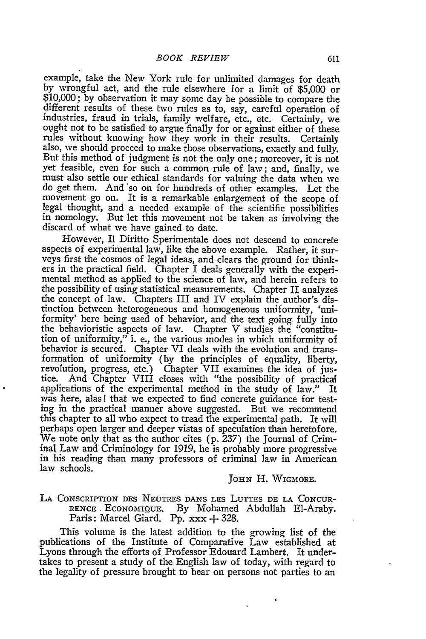example, take the New York rule for unlimited damages for death by wrongful act, and the rule elsewhere for a limit of \$5,000 or \$10,000; by observation it may some day be possible to compare the different results of these two rules as to, say, careful operation of industries, fraud in trials, family welfare, etc., etc. Certainly, we ought not to be satisfied to argue finally for or against either of these rules without knowing how they work in their results. Certainly also, we should proceed to make those observations, exactly and fully, But this method of judgment is not the only one; moreover, it is not yet feasible, even for such a common rule of law; and, finally, we must also settle our ethical standards for valuing the data when we do get them. And so on for hundreds of other examples. Let the movement go on. It is a remarkable enlargement of the scope of legal thought, and a needed example of the scientific possibilities in nomology. But let this movement not be taken as involving the discard of what we have gained to date.

However, I1 Diritto Sperimentale does not descend to concrete aspects of experimental law, like the above example. Rather, it surveys first the cosmos of legal ideas, and clears the ground for think-<br>ers in the practical field. Chapter I deals generally with the experimental method as applied to the science of law, and herein refers to the possibility of using statistical measurements. Chapter II analyzes the concept of law. Chapters III and IV explain the author's distinction between heterogeneous and homogeneous uniformity, 'uniformity' here being used of behavior, and the text going fully into the behavioristic aspects of law. Chapter V studies the "constitution of uniformity," i. e., the various modes in which uniformity of behavior is secured. Chapter VI deals with the evolution and transformation of uniformity (by the principles of equality, liberty,<br>revolution, progress, etc.) Chapter VII examines the idea of jus-<br>tice. And Chapter VIII closes with "the possibility of practical<br>applications of the experi was here, alas! that we expected to find concrete guidance for testing in the practical manner above suggested. But we recommend this chapter to all who expect to tread the experimental path. It will perhaps open larger and deeper vistas of speculation than heretofore. We note only that as the author cites (p. 237) the Journal of Criminal Law and Criminology for 1919, he is probably more progressive in his reading than many professors of criminal law in American law schools.

**JOHN** H. **WIGMAORE.**

**LA** CONSCRIPTION DES **NEUTRES DANS** LES LUTTES **DE LA CONCUR-RENCE, ECONOMIQUE. By** Mohamed Abdullah EI-Araby. Paris: Marcel Giard. Pp. xxx **+** 328.

This volume is the latest addition to the growing list of the publications of the Institute of Comparative Law established at Lyons through the efforts of Professor Edouard Lambert. It undertakes to present a study of the English law of today, with regard to the legality of pressure brought to bear on persons not parties to an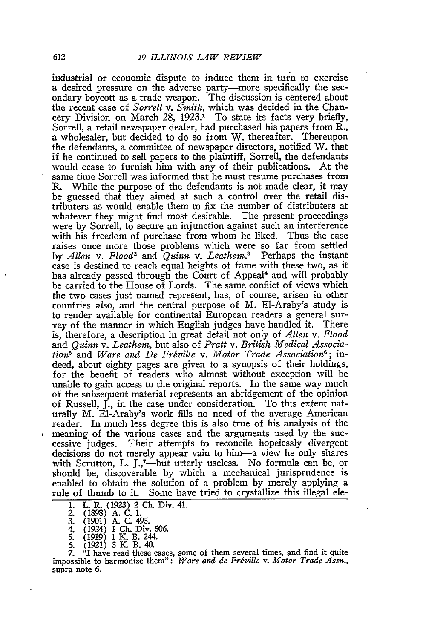industrial or economic dispute to induce them in turn to exercise a desired pressure on the adverse party-more specifically the secondary boycott as a trade weapon. The discussion is centered about the recent case of *Sorrell v.* Smith, which was decided in the Chancery Division on March 28,  $1923$ .<sup>1</sup> To state its facts very briefly, Sorrell, a retail newspaper dealer, had purchased his papers from R., a wholesaler, but decided to do so from W. thereafter. Thereupon the defendants, a committee of newspaper directors, notified W. that if he continued to sell papers to the plaintiff, Sorrell, the defendants would cease to furnish him with any of their publications. At the same time Sorrell was informed that he must resume purchases from R. While the purpose of the defendants is not made dear, it may be guessed that they aimed at such a control over the retail distributers as would enable them to fix the number of distributers at whatever they might find most desirable. The present proceedings were by Sorrell, to secure an injunction against such an interference with his freedom of purchase from whom he liked. Thus the case raises once more those problems which were so far from settled by *Allen v. Flood<sup>2</sup>* and *Quinn v. Leathem*.<sup>3</sup> Perhaps the instant case is destined to reach equal heights of fame with these two, as it has already passed through the Court of Appeal<sup>4</sup> and will probably be carried to the House of Lords. The same conflict of views which the two cases just named represent, has, of course, arisen in other countries also, and the central purpose of M. EI-Araby's study is to render available for continental European readers a general survey of the manner in which English judges have handled it. There is, therefore, a description in great detail not only of *Allen v. Flood* and *Quinn v. Leathen,* but also of *Pratt v. British Medical Associa* $tion<sup>5</sup>$  and *Ware and De Fréville v. Motor Trade Association*<sup>6</sup>; indeed, about eighty pages are given to a synopsis of their holdings, for the benefit of readers who almost without exception will be unable to gain access to the original reports. In the same way much of the subsequent material represents an abridgement of the opinion of Russell, J., in the case under consideration. To this extent naturally M. EI-Araby's work fills no need of the average American reader. In much less degree this is also true of his analysis of the meaning of the various cases and the arguments used by the successive judges. Their attempts to reconcile hopelessly divergent decisions do not merely appear vain to him-a view he only shares with Scrutton, L. J.,<sup>7</sup>—but utterly useless. No formula can be, or should be, discoverable by which a mechanical jurisprudence is enabled to obtain the solution of a problem by merely applying a rule of thumb to it. Some have tried to crystallize this illegal ele-

- 1. L. R. (1923) 2 Ch. Div. 41.<br>2. (1898) A. C. 1.<br>3. (1901) A. C. 495.
- *2.* (1898) A. C. **1.**
- **3. (1901) A.** C. 495.
- 4. (1924) **1** Ch. Div. 506.
- 5. (1919) **1** K. B. 244. **6. (1921) 3 K.** B. 40.
- 

*7.* <sup>*a*</sup>**I** have read these cases, some of them several times, and find it quite impossible to harmonize them": *Ware and de Fréville v. Motor Trade Assn.*, impossible to harmonize them": Ware and de Fréville v. Motor Trade Assn., supra note 6.